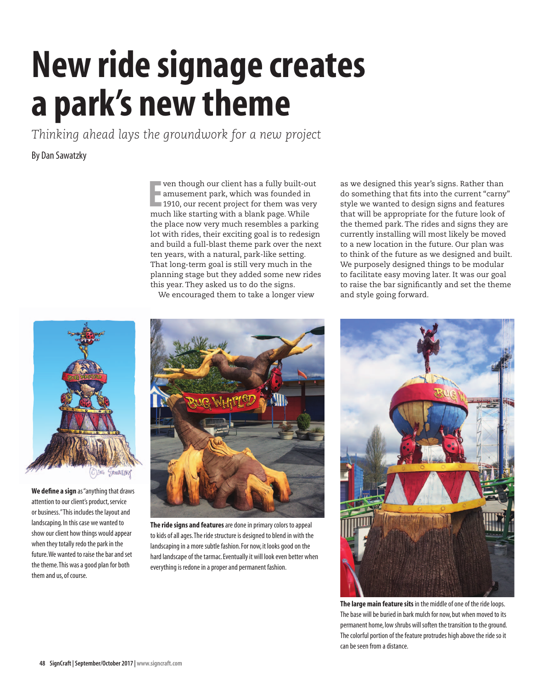## **New ride signage creates a park's new theme**

*Thinking ahead lays the groundwork for a new project*

## By Dan Sawatzky

**E** ven though our client has a fully built-our amusement park, which was founded in 1910, our recent project for them was vermuch like starting with a blank page. While ven though our client has a fully built-out amusement park, which was founded in 1910, our recent project for them was very the place now very much resembles a parking lot with rides, their exciting goal is to redesign and build a full-blast theme park over the next ten years, with a natural, park-like setting. That long-term goal is still very much in the planning stage but they added some new rides this year. They asked us to do the signs.

We encouraged them to take a longer view

as we designed this year's signs. Rather than do something that fits into the current "carny" style we wanted to design signs and features that will be appropriate for the future look of the themed park. The rides and signs they are currently installing will most likely be moved to a new location in the future. Our plan was to think of the future as we designed and built. We purposely designed things to be modular to facilitate easy moving later. It was our goal to raise the bar significantly and set the theme and style going forward.



**We define a sign** as "anything that draws attention to our client's product, service or business." This includes the layout and landscaping. In this case we wanted to show our client how things would appear when they totally redo the park in the future. We wanted to raise the bar and set the theme. This was a good plan for both them and us, of course.



**The ride signs and features** are done in primary colors to appeal to kids of all ages. The ride structure is designed to blend in with the landscaping in a more subtle fashion. For now, it looks good on the hard landscape of the tarmac. Eventually it will look even better when everything is redone in a proper and permanent fashion.



**The large main feature sits** in the middle of one of the ride loops. The base will be buried in bark mulch for now, but when moved to its permanent home, low shrubs will soften the transition to the ground. The colorful portion of the feature protrudes high above the ride so it can be seen from a distance.